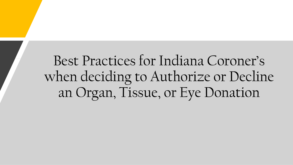Best Practices for Indiana Coroner's when deciding to Authorize or Decline an Organ, Tissue, or Eye Donation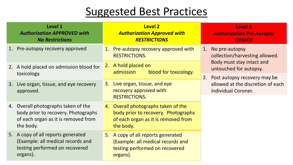### Suggested Best Practices

|    | Level 1<br><b>Authorization APPROVED with</b><br><b>No Restrictions</b>                                                        | <b>Level 2</b><br><b>Authorization Approved with</b><br><b>RESTRICTIONS</b>                                                    | Level 3<br><b>Authorization Pre-Autopsy</b><br><b>DENIED</b>                                                  |
|----|--------------------------------------------------------------------------------------------------------------------------------|--------------------------------------------------------------------------------------------------------------------------------|---------------------------------------------------------------------------------------------------------------|
| 1. | Pre-autopsy recovery approved                                                                                                  | 1. Pre-autopsy recovery approved with<br><b>RESTRICTIONS.</b>                                                                  | No pre-autopsy<br>1.<br>collection/harvesting allowed.<br>Body must stay intact and<br>untouched for autopsy. |
|    | 2. A hold placed on admission blood for<br>toxicology.                                                                         | A hold placed on<br>2.<br>blood for toxicology.<br>admission                                                                   |                                                                                                               |
|    |                                                                                                                                |                                                                                                                                | Post autopsy recovery may be<br>2.<br>allowed at the discretion of each<br>individual Coroner.                |
|    | 3. Live organ, tissue, and eye recovery<br>approved.                                                                           | Live organ, tissue, and eye<br>3.<br>recovery approved with<br><b>RESTRICTIONS.</b>                                            |                                                                                                               |
|    | 4. Overall photographs taken of the<br>body prior to recovery. Photographs<br>of each organ as it is removed from<br>the body. | 4. Overall photographs taken of the<br>body prior to recovery. Photographs<br>of each organ as it is removed from<br>the body. |                                                                                                               |
|    | 5. A copy of all reports generated<br>(Example: all medical records and<br>testing performed on recovered<br>organs).          | 5. A copy of all reports generated<br>(Example: all medical records and<br>testing performed on recovered<br>organs).          |                                                                                                               |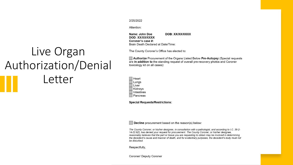#### 2/25/2022

Attention:

Name: John Doe DOB: XX/XX/XXXX DOD: XX/XX/XXXX Coroner's case #: Brain Death Declared at Date/Time:

#### The County Coroner's Office has elected to:

#### Authorize Procurement of the Organs Listed Below Pre-Autopsy (Special requests are in addition to the standing request of overall pre-recovery photos and Coroner toxicology kit on all cases):

Heart Lungs Liver Kidneys Intestines Pancreas

**Special Requests/Restrictions:** 

Decline procurement based on the reason(s) below:

The County Coroner, or his/her designee, in consultation with a pathologist, and according to I.C. 36-2-14-22.6(f), has denied your request for procurement. The County Coroner, or his/her designee, reasonably believes that the part or tissue you are requesting to obtain may be involved in determining the decedent's cause and manner of death, and for evidentiary purposes, the decedent's body must not be disturbed.

Respectfully,

Coroner/ Deputy Coroner

## Live Organ Authorization/Denial Letter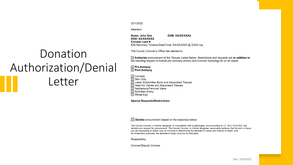#### 2/21/2022

Attention:

Name: John Doe DOB: XX/XX/XXXX DOD: XX/XX/XXXX Coroner case #: IDN Recovery Timeout Date/Time: XX/XX/2022 @ XXXX hrs

#### The County Coroner's Office has elected to:

#### Authorize procurement of the Tissues Listed Below: Restrictions and requests are in addition to the standing request of overall pre-recovery photos and Coroner toxicology kit on all cases:

#### **Pre-Autopsy** Post-Autopsy

Donation

Authorization/Denial

Letter

Corneas

- Skin Only Lower Extremities Bone and Associated Tissues Heart for Valves and Associated Tissues Saphenous/Femoral Veins
- Aortoiliac Artery
- $\Box$  Whole Eye

**Special Requests/Restrictions:** 

Decline procurement based on the reason(s) below:

The County Coroner, or his/her designee, in consultation with a pathologist, and according to I.C. 36-2-14-22.6(f), has denied your request for procurement. The County Coroner, or his/her designee, reasonably believes that the part or tissue you are requesting to obtain may be involved in determining the decedent's cause and manner of death, and for evidentiary purposes, the decedent's body must not be disturbed.

Respectfully,

**Coroner/Deputy Coroner**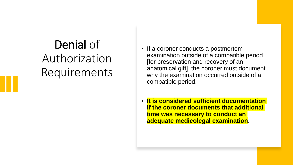# Denial of Authorization Requirements

- If a coroner conducts a postmortem examination outside of a compatible period [for preservation and recovery of an anatomical gift], the coroner must document why the examination occurred outside of a compatible period.
- **It is considered sufficient documentation if the coroner documents that additional time was necessary to conduct an adequate medicolegal examination.**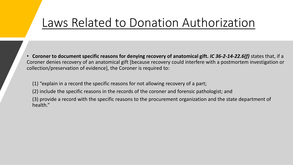## Laws Related to Donation Authorization

• **Coroner to document specific reasons for denying recovery of anatomical gift.** *IC 36-2-14-22.6(f)* states that, if a Coroner denies recovery of an anatomical gift [because recovery could interfere with a postmortem investigation or collection/preservation of evidence], the Coroner is required to:

(1) "explain in a record the specific reasons for not allowing recovery of a part;

(2) include the specific reasons in the records of the coroner and forensic pathologist; and

(3) provide a record with the specific reasons to the procurement organization and the state department of health."